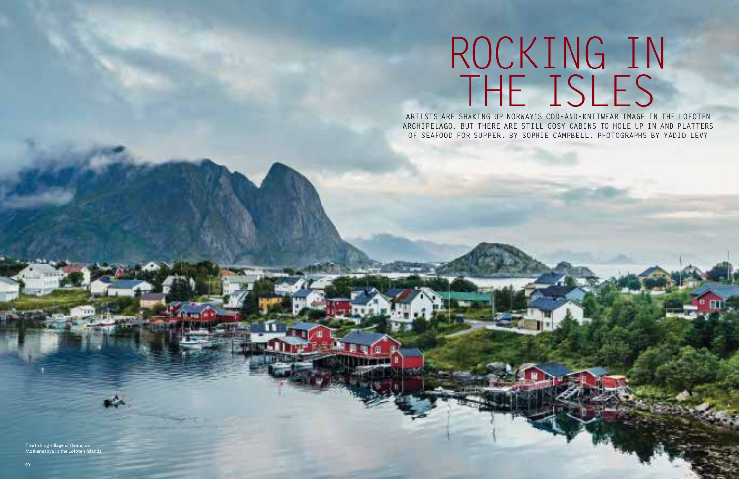# ROCKING IN THE ISLES

**ARTISTS ARE SHAKING UP NORWAY'S COD-AND-KNITWEAR IMAGE IN THE LOFOTEN ARCHIPELAGO, BUT THERE ARE STILL COSY CABINS TO HOLE UP IN AND PLATTERS OF SEAFOOD FOR SUPPER. BY SOPHIE CAMPBELL. PHOTOGRAPHS BY YADID LEVY**

The fishing village of Reine, on Moskenesøya in the Lofoten Islands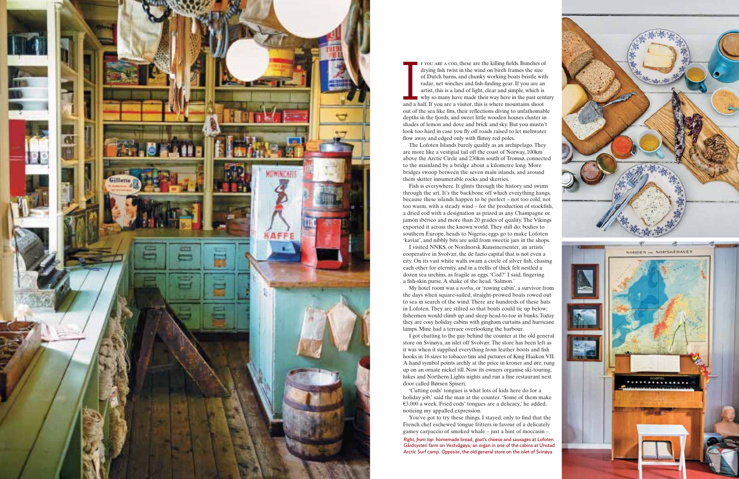

f you are a cod, these are the killing fields. Bunches of drying fish twist in the wind on birch frames the size of Dutch barns, and chunky working boats bristle with radar, net winches and fish-finding gear. If you are an artist, this is a land of light, clear and simple, which is why so many have made their way here in the past century and a half. If you are a visitor, this is where mountains shoot out of the sea like fins, their reflections diving to unfathomable depths in the fjords, and sweet little wooden houses cluster in shades of lemon and dove and brick and sky. But you mustn't look too hard in case you fly off roads raised to let meltwater flow away and edged only with flimsy red poles. From the states and controlled into the states and controlled in the state of Durch barras and change on the state of the state of the old general state with the state or the state of the old general state of the state of

The Lofoten Islands barely qualify as an archipelago. They are more like a vestigial tail off the coast of Norway, 100km above the Arctic Circle and 230km south of Tromsø, connected to the mainland by a bridge about a kilometre long. More bridges swoop between the seven main islands, and around them skitter innumerable rocks and skerries.

Fish is everywhere. It glints through the history and swims through the art. It's the backbone off which everything hangs, because these islands happen to be perfect – not too cold, not too warm, with a steady wind – for the production of stockfish, a dried cod with a designation as prized as any Champagne or jamón ibérico and more than 20 grades of quality. The Vikings exported it across the known world. They still do: bodies to southern Europe, heads to Nigeria; eggs go to make Lofoten 'kaviar', and nibbly bits are sold from sweetie jars in the shops.

I visited NNKS, or Nordnorsk Kunstnersenter, an artists' cooperative in Svolvær, the de facto capital that is not even a city. On its vast white walls swam a circle of silver fish, chasing each other for eternity, and in a trellis of thick felt nestled a dozen sea urchins, as fragile as eggs. 'Cod?' I said, fingering a fish-skin purse. A shake of the head. 'Salmon.'

My hotel room was a *rorbu*, or 'rowing cabin', a survivor from the days when square-sailed, straight-prowed boats rowed out to sea in search of the wind. There are hundreds of these huts in Lofoten. They are stilted so that boats could tie up below; fishermen would climb up and sleep head-to-toe in bunks. Today they are cosy holiday cabins with gingham curtains and hurricane lamps. Mine had a terrace overlooking the harbour.

I got chatting to the guy behind the counter at the old general store on Svinøya, an islet off Svolvær. The store has been left as it was when it supplied everything from leather boots and fish hooks in 16 sizes to tobacco tins and pictures of King Haakon VII. A hand symbol points archly at the price in kroner and øre, rung up on an ornate nickel till. Now its owners organise ski-touring, hikes and Northern Lights nights and run a fine restaurant next door called Børsen Spiseri.

'Cutting cods' tongues is what lots of kids here do for a holiday job,' said the man at the counter. 'Some of them make €3,000 a week. Fried cods' tongues are a delicacy,' he added, noticing my appalled expression.

You've got to try these things. I stayed, only to find that the French chef eschewed tongue fritters in favour of a delicately gamey carpaccio of smoked whale – just a hint of moccasin –

*Right, from top*: homemade bread, goat's cheese and sausages at Lofoten Gårdsysteri farm on Vestvågøya; an organ in one of the cabins at Unstad

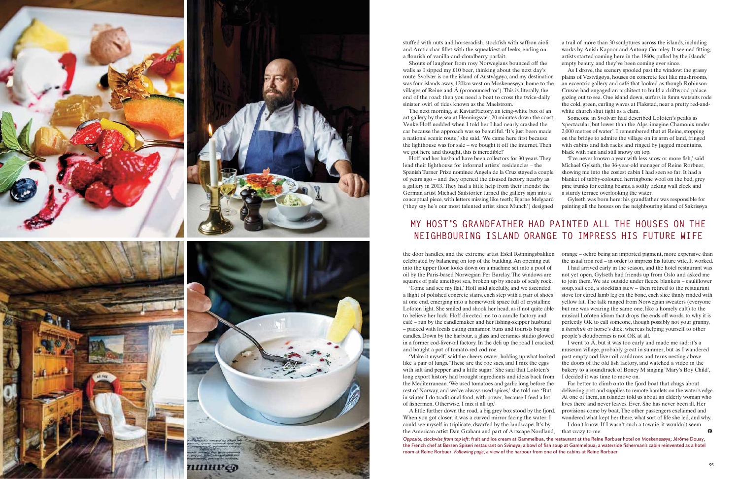

stuffed with nuts and horseradish, stockfish with saffron aioli and Arctic char fillet with the squeakiest of leeks, ending on a flourish of vanilla-and-cloudberry parfait.

Shouts of laughter from rosy Norwegians bounced off the walls as I sipped my £10 beer, thinking about the next day's route. Svolvær is on the island of Austvågøya, and my destination was four islands away, 120km west on Moskenesøya, home to the villages of Reine and Å (pronounced 'or'). This is, literally, the end of the road: then you need a boat to cross the twice-daily sinister swirl of tides known as the Maelstrom.

The next morning, at KaviarFactory, an icing-white box of an art gallery by the sea at Henningsvær, 20 minutes down the coast, Venke Hoff nodded when I told her I had nearly crashed the car because the approach was so beautiful. 'It's just been made a national scenic route,' she said. 'We came here first because the lighthouse was for sale – we bought it off the internet. Then we got here and thought, this is incredible!'

the door handles, and the extreme artist Eskil Rønningsbakken

'Make it myself,' said the cheery owner, holding up what looked like a pair of lungs. 'These are the roe sacs, and I mix the eggs with salt and pepper and a little sugar.' She said that Lofoten's long export history had brought ingredients and ideas back from the Mediterranean. 'We used tomatoes and garlic long before the rest of Norway, and we've always used spices,' she told me. 'But in winter I do traditional food, with power, because I feed a lot of fishermen. Otherwise, I mix it all up.'

Hoff and her husband have been collectors for 30 years. They lend their lighthouse for informal artists' residencies – the Spanish Turner Prize nominee Angela de la Cruz stayed a couple of years ago – and they opened the disused factory nearby as a gallery in 2013. They had a little help from their friends: the German artist Michael Sailstorfer turned the gallery sign into a conceptual piece, with letters missing like teeth; Bjarne Melgaard ('they say he's our most talented artist since Munch') designed 'I've never known a year with less snow or more fish,' said Michael Gylseth, the 36-year-old manager of Reine Rorbuer, showing me into the cosiest cabin I had seen so far. It had a blanket of tabby-coloured herringbone wool on the bed, grey pine trunks for ceiling beams, a softly ticking wall clock and a sturdy terrace overlooking the water. Gylseth was born here: his grandfather was responsible for painting all the houses on the neighbouring island of Sakrisøya

a trail of more than 30 sculptures across the islands, including works by Anish Kapoor and Antony Gormley. It seemed fitting; artists started coming here in the 1860s, pulled by the islands' empty beauty, and they've been coming ever since.

celebrated by balancing on top of the building. An opening cut into the upper floor looks down on a machine set into a pool of oil by the Paris-based Norwegian Per Barclay. The windows are squares of pale amethyst sea, broken up by snouts of scaly rock. 'Come and see my flat,' Hoff said gleefully, and we ascended a flight of polished concrete stairs, each step with a pair of shoes at one end, emerging into a home/work space full of crystalline Lofoten light. She smiled and shook her head, as if not quite able to believe her luck. Hoff directed me to a candle factory and café – run by the candlemaker and her fishing-skipper husband – packed with locals eating cinnamon buns and tourists buying candles. Down by the harbour, a glass and ceramics studio glowed in a former cod-liver-oil factory. In the deli up the road I cracked, and bought a pot of tomato-red cod roe. orange – ochre being an imported pigment, more expensive than the usual iron red – in order to impress his future wife. It worked. I had arrived early in the season, and the hotel restaurant was not yet open. Gylseth had friends up from Oslo and asked me to join them. We ate outside under fleece blankets – cauliflower soup, salt cod, a stockfish stew – then retired to the restaurant stove for cured lamb leg on the bone, each slice thinly rinded with yellow fat. The talk ranged from Norwegian sweaters (everyone but me was wearing the same one, like a homely cult) to the musical Lofoten idiom that drops the ends off words, to why it is perfectly OK to call someone, though possibly not your granny, a *hæstkuk* or horse's dick, whereas helping yourself to other people's cloudberries is not OK at all. I went to Å, but it was too early and made me sad: it's a museum village, probably great in summer, but as I wandered

As I drove, the scenery spooled past the window: the grassy plains of Vestvågøya, houses on concrete feet like mushrooms, an eccentric gallery and café that looked as though Robinson Crusoe had engaged an architect to build a driftwood palace gazing out to sea. One island down, surfers in 8mm wetsuits rode the cold, green, curling waves at Flakstad, near a pretty red-andwhite church shut tight as a clam.

Someone in Svolvær had described Lofoten's peaks as 'spectacular, but lower than the Alps: imagine Chamonix under 2,000 metres of water'. I remembered that at Reine, stopping on the bridge to admire the village on its arm of land, fringed with cabins and fish racks and ringed by jagged mountains, black with rain and still snowy on top.

A little further down the road, a big grey box stood by the fjord. When you got closer, it was a curved mirror facing the water: I could see myself in triplicate, dwarfed by the landscape. It's by the American artist Dan Graham and part of Artscape Nordland, provisions come by boat. The other passengers exclaimed and wondered what kept her there, what sort of life she led, and why. I don't know. If I wasn't such a townie, it wouldn't seem that crazy to me. *Opposite, clockwise from top left*: fruit and ice cream at Gammelbua, the restaurant at the Reine Rorbuer hotel on Moskenesøya; Jérôme Douay, the French chef at Børsen Spiseri restaurant on Svinøya; a bowl of fish soup at Gammelbua; a waterside fisherman's cabin reinvented as a hotel room at Reine Rorbuer. *Following page*, a view of the harbour from one of the cabins at Reine Rorbuer

past empty cod-liver-oil cauldrons and terns nesting above the doors of the old fish factory, and watched a video in the bakery to a soundtrack of Boney M singing 'Mary's Boy Child', I decided it was time to move on.

Far better to climb onto the fjord boat that chugs about delivering post and supplies to remote hamlets on the water's edge. At one of them, an islander told us about an elderly woman who lives there and never leaves. Ever. She has never been ill. Her

# **MY HOST'S GRANDFATHER HAD PAINTED ALL THE HOUSES ON THE NEIGHBOURING ISLAND ORANGE TO IMPRESS HIS FUTURE WIFE**